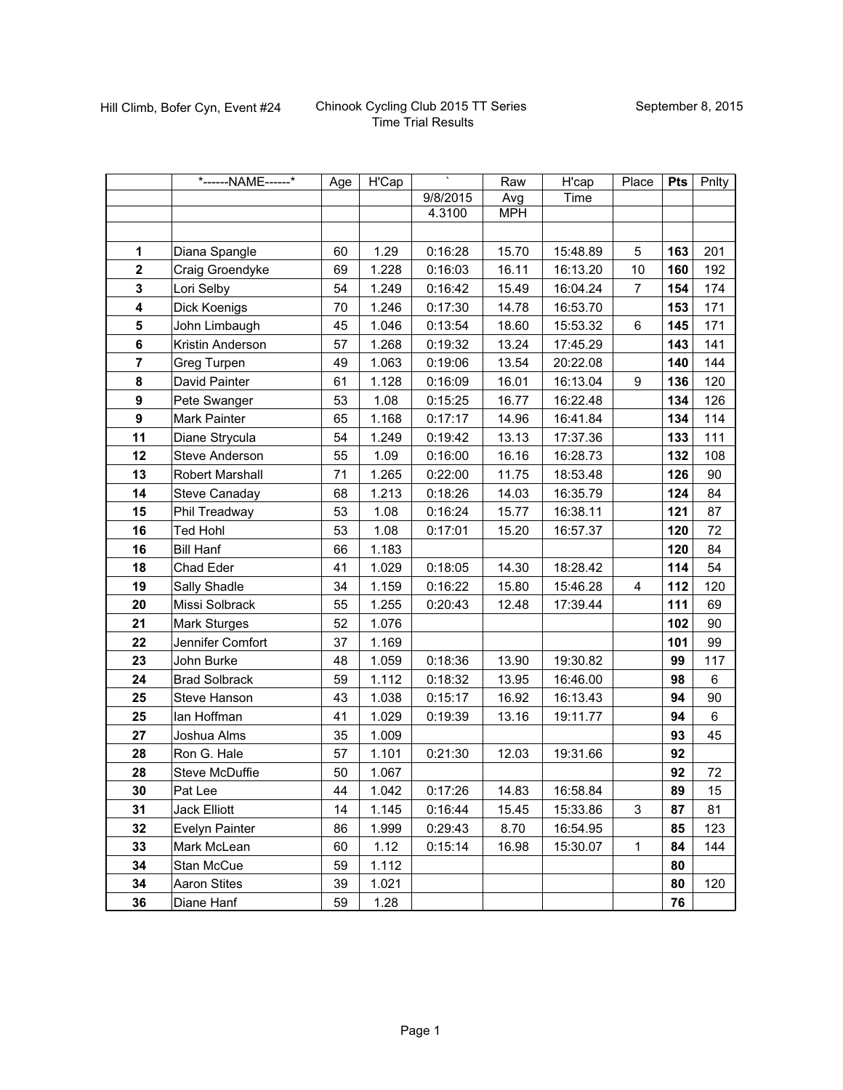|                | *------NAME------*   | Age | $\overline{H'C}$ ap |          | Raw        | H'cap    | Place          | <b>Pts</b> | Pnlty   |
|----------------|----------------------|-----|---------------------|----------|------------|----------|----------------|------------|---------|
|                |                      |     |                     | 9/8/2015 | Avg        | Time     |                |            |         |
|                |                      |     |                     | 4.3100   | <b>MPH</b> |          |                |            |         |
|                |                      |     |                     |          |            |          |                |            |         |
| 1              | Diana Spangle        | 60  | 1.29                | 0:16:28  | 15.70      | 15:48.89 | 5              | 163        | 201     |
| $\overline{2}$ | Craig Groendyke      | 69  | 1.228               | 0:16:03  | 16.11      | 16:13.20 | 10             | 160        | 192     |
| $\mathbf{3}$   | Lori Selby           | 54  | 1.249               | 0:16:42  | 15.49      | 16:04.24 | $\overline{7}$ | 154        | 174     |
| 4              | Dick Koenigs         | 70  | 1.246               | 0:17:30  | 14.78      | 16:53.70 |                | 153        | 171     |
| 5              | John Limbaugh        | 45  | 1.046               | 0:13:54  | 18.60      | 15:53.32 | 6              | 145        | 171     |
| $\bf 6$        | Kristin Anderson     | 57  | 1.268               | 0:19:32  | 13.24      | 17:45.29 |                | 143        | 141     |
| $\overline{7}$ | Greg Turpen          | 49  | 1.063               | 0:19:06  | 13.54      | 20:22.08 |                | 140        | 144     |
| 8              | David Painter        | 61  | 1.128               | 0:16:09  | 16.01      | 16:13.04 | 9              | 136        | 120     |
| 9              | Pete Swanger         | 53  | 1.08                | 0:15:25  | 16.77      | 16:22.48 |                | 134        | 126     |
| 9              | Mark Painter         | 65  | 1.168               | 0:17:17  | 14.96      | 16:41.84 |                | 134        | 114     |
| 11             | Diane Strycula       | 54  | 1.249               | 0:19:42  | 13.13      | 17:37.36 |                | 133        | 111     |
| 12             | Steve Anderson       | 55  | 1.09                | 0:16:00  | 16.16      | 16:28.73 |                | 132        | 108     |
| 13             | Robert Marshall      | 71  | 1.265               | 0:22:00  | 11.75      | 18:53.48 |                | 126        | 90      |
| 14             | Steve Canaday        | 68  | 1.213               | 0:18:26  | 14.03      | 16:35.79 |                | 124        | 84      |
| 15             | Phil Treadway        | 53  | 1.08                | 0:16:24  | 15.77      | 16:38.11 |                | 121        | 87      |
| 16             | <b>Ted Hohl</b>      | 53  | 1.08                | 0:17:01  | 15.20      | 16:57.37 |                | 120        | 72      |
| 16             | <b>Bill Hanf</b>     | 66  | 1.183               |          |            |          |                | 120        | 84      |
| 18             | Chad Eder            | 41  | 1.029               | 0:18:05  | 14.30      | 18:28.42 |                | 114        | 54      |
| 19             | Sally Shadle         | 34  | 1.159               | 0:16:22  | 15.80      | 15:46.28 | 4              | 112        | 120     |
| 20             | Missi Solbrack       | 55  | 1.255               | 0:20:43  | 12.48      | 17:39.44 |                | 111        | 69      |
| 21             | Mark Sturges         | 52  | 1.076               |          |            |          |                | 102        | 90      |
| 22             | Jennifer Comfort     | 37  | 1.169               |          |            |          |                | 101        | 99      |
| 23             | John Burke           | 48  | 1.059               | 0:18:36  | 13.90      | 19:30.82 |                | 99         | 117     |
| 24             | <b>Brad Solbrack</b> | 59  | 1.112               | 0:18:32  | 13.95      | 16:46.00 |                | 98         | $\,6\,$ |
| 25             | Steve Hanson         | 43  | 1.038               | 0:15:17  | 16.92      | 16:13.43 |                | 94         | 90      |
| 25             | lan Hoffman          | 41  | 1.029               | 0:19:39  | 13.16      | 19:11.77 |                | 94         | 6       |
| 27             | Joshua Alms          | 35  | 1.009               |          |            |          |                | 93         | 45      |
| 28             | Ron G. Hale          | 57  | 1.101               | 0:21:30  | 12.03      | 19:31.66 |                | 92         |         |
| 28             | Steve McDuffie       | 50  | 1.067               |          |            |          |                | 92         | 72      |
| 30             | Pat Lee              | 44  | 1.042               | 0:17:26  | 14.83      | 16:58.84 |                | 89         | 15      |
| 31             | Jack Elliott         | 14  | 1.145               | 0:16:44  | 15.45      | 15:33.86 | 3              | 87         | 81      |
| 32             | Evelyn Painter       | 86  | 1.999               | 0:29:43  | 8.70       | 16:54.95 |                | 85         | 123     |
| 33             | Mark McLean          | 60  | 1.12                | 0:15:14  | 16.98      | 15:30.07 | $\mathbf 1$    | 84         | 144     |
| 34             | Stan McCue           | 59  | 1.112               |          |            |          |                | 80         |         |
| 34             | <b>Aaron Stites</b>  | 39  | 1.021               |          |            |          |                | 80         | 120     |
| 36             | Diane Hanf           | 59  | 1.28                |          |            |          |                | 76         |         |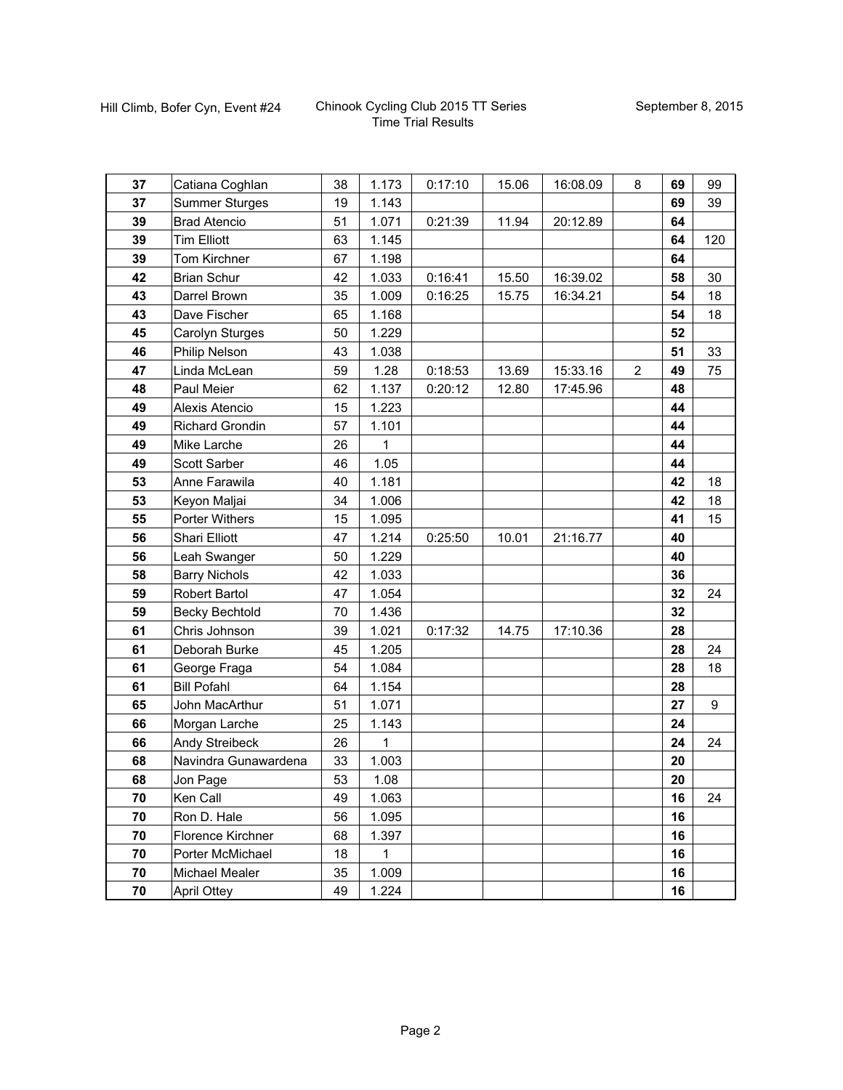| 37 | Catiana Coghlan       | 38 | 1.173       | 0:17:10 | 15.06 | 16:08.09 | 8              | 69 | 99  |
|----|-----------------------|----|-------------|---------|-------|----------|----------------|----|-----|
| 37 | <b>Summer Sturges</b> | 19 | 1.143       |         |       |          |                | 69 | 39  |
| 39 | <b>Brad Atencio</b>   | 51 | 1.071       | 0:21:39 | 11.94 | 20:12.89 |                | 64 |     |
| 39 | <b>Tim Elliott</b>    | 63 | 1.145       |         |       |          |                | 64 | 120 |
| 39 | Tom Kirchner          | 67 | 1.198       |         |       |          |                | 64 |     |
| 42 | <b>Brian Schur</b>    | 42 | 1.033       | 0:16:41 | 15.50 | 16:39.02 |                | 58 | 30  |
| 43 | Darrel Brown          | 35 | 1.009       | 0:16:25 | 15.75 | 16:34.21 |                | 54 | 18  |
| 43 | Dave Fischer          | 65 | 1.168       |         |       |          |                | 54 | 18  |
| 45 | Carolyn Sturges       | 50 | 1.229       |         |       |          |                | 52 |     |
| 46 | Philip Nelson         | 43 | 1.038       |         |       |          |                | 51 | 33  |
| 47 | Linda McLean          | 59 | 1.28        | 0:18:53 | 13.69 | 15:33.16 | $\overline{2}$ | 49 | 75  |
| 48 | Paul Meier            | 62 | 1.137       | 0:20:12 | 12.80 | 17:45.96 |                | 48 |     |
| 49 | Alexis Atencio        | 15 | 1.223       |         |       |          |                | 44 |     |
| 49 | Richard Grondin       | 57 | 1.101       |         |       |          |                | 44 |     |
| 49 | Mike Larche           | 26 | 1           |         |       |          |                | 44 |     |
| 49 | Scott Sarber          | 46 | 1.05        |         |       |          |                | 44 |     |
| 53 | Anne Farawila         | 40 | 1.181       |         |       |          |                | 42 | 18  |
| 53 | Keyon Maljai          | 34 | 1.006       |         |       |          |                | 42 | 18  |
| 55 | Porter Withers        | 15 | 1.095       |         |       |          |                | 41 | 15  |
| 56 | <b>Shari Elliott</b>  | 47 | 1.214       | 0:25:50 | 10.01 | 21:16.77 |                | 40 |     |
| 56 | Leah Swanger          | 50 | 1.229       |         |       |          |                | 40 |     |
| 58 | <b>Barry Nichols</b>  | 42 | 1.033       |         |       |          |                | 36 |     |
| 59 | <b>Robert Bartol</b>  | 47 | 1.054       |         |       |          |                | 32 | 24  |
| 59 | <b>Becky Bechtold</b> | 70 | 1.436       |         |       |          |                | 32 |     |
| 61 | Chris Johnson         | 39 | 1.021       | 0:17:32 | 14.75 | 17:10.36 |                | 28 |     |
| 61 | Deborah Burke         | 45 | 1.205       |         |       |          |                | 28 | 24  |
| 61 | George Fraga          | 54 | 1.084       |         |       |          |                | 28 | 18  |
| 61 | <b>Bill Pofahl</b>    | 64 | 1.154       |         |       |          |                | 28 |     |
| 65 | John MacArthur        | 51 | 1.071       |         |       |          |                | 27 | 9   |
| 66 | Morgan Larche         | 25 | 1.143       |         |       |          |                | 24 |     |
| 66 | Andy Streibeck        | 26 | $\mathbf 1$ |         |       |          |                | 24 | 24  |
| 68 | Navindra Gunawardena  | 33 | 1.003       |         |       |          |                | 20 |     |
| 68 | Jon Page              | 53 | 1.08        |         |       |          |                | 20 |     |
| 70 | Ken Call              | 49 | 1.063       |         |       |          |                | 16 | 24  |
| 70 | Ron D. Hale           | 56 | 1.095       |         |       |          |                | 16 |     |
| 70 | Florence Kirchner     | 68 | 1.397       |         |       |          |                | 16 |     |
| 70 | Porter McMichael      | 18 | 1           |         |       |          |                | 16 |     |
| 70 | Michael Mealer        | 35 | 1.009       |         |       |          |                | 16 |     |
| 70 | <b>April Ottey</b>    | 49 | 1.224       |         |       |          |                | 16 |     |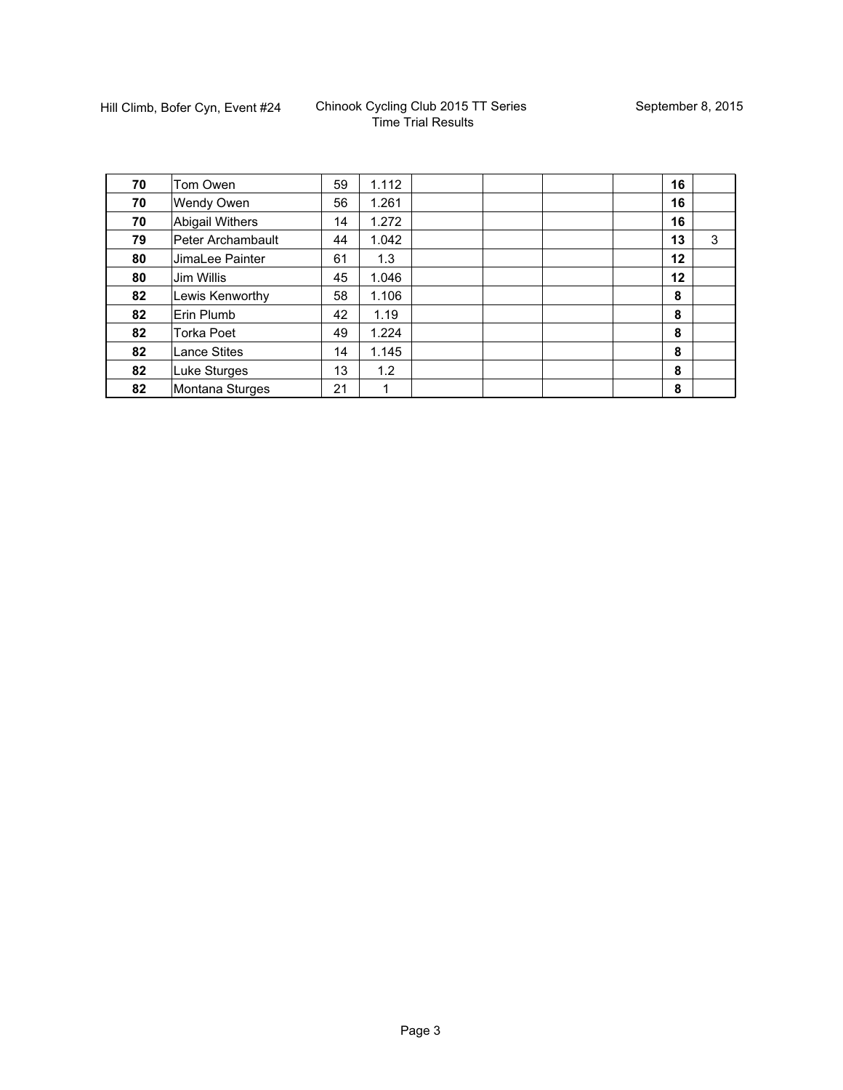| 70 | Tom Owen            | 59 | 1.112 |  | 16 |   |
|----|---------------------|----|-------|--|----|---|
| 70 | Wendy Owen          | 56 | 1.261 |  | 16 |   |
| 70 | Abigail Withers     | 14 | 1.272 |  | 16 |   |
| 79 | Peter Archambault   | 44 | 1.042 |  | 13 | 3 |
| 80 | JimaLee Painter     | 61 | 1.3   |  | 12 |   |
| 80 | Jim Willis          | 45 | 1.046 |  | 12 |   |
| 82 | Lewis Kenworthy     | 58 | 1.106 |  | 8  |   |
| 82 | Erin Plumb          | 42 | 1.19  |  | 8  |   |
| 82 | <b>Torka Poet</b>   | 49 | 1.224 |  | 8  |   |
| 82 | <b>Lance Stites</b> | 14 | 1.145 |  | 8  |   |
| 82 | Luke Sturges        | 13 | 1.2   |  | 8  |   |
| 82 | Montana Sturges     | 21 | 1     |  | 8  |   |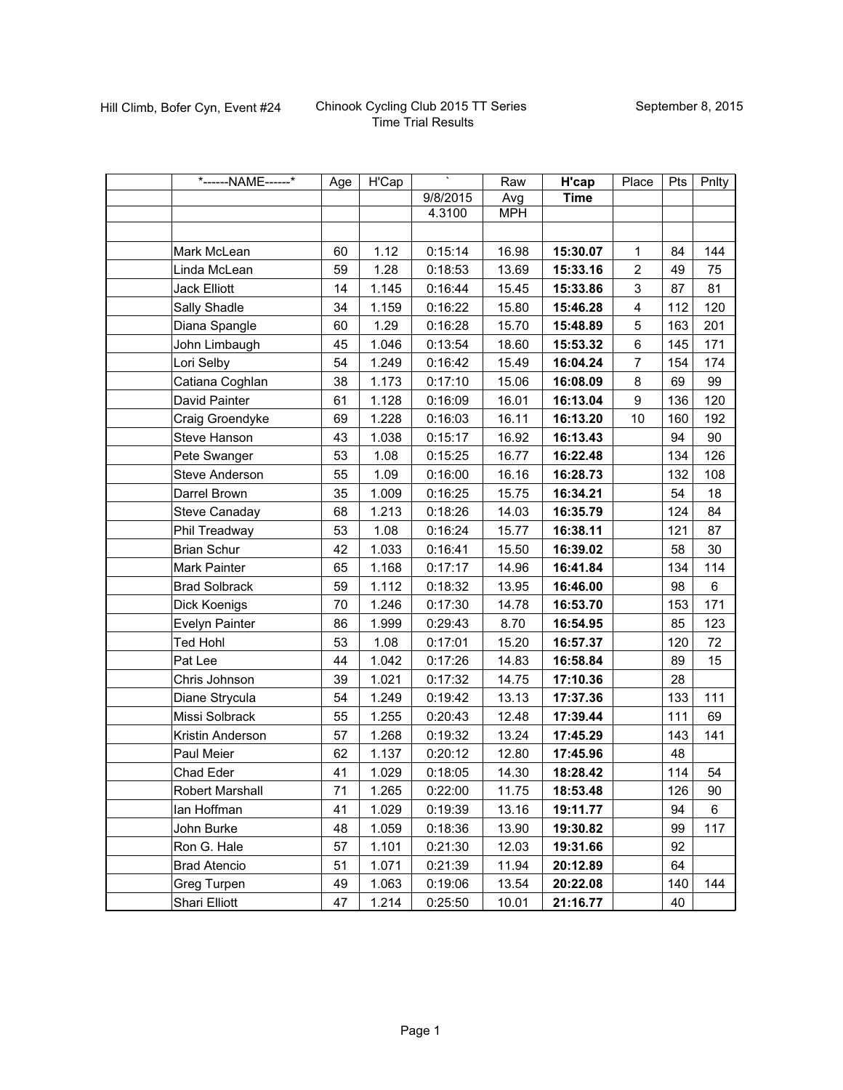| *------NAME------*    | Age | H'Cap | Τ        | Raw        | H'cap       | Place                   | <b>Pts</b> | Pnlty   |
|-----------------------|-----|-------|----------|------------|-------------|-------------------------|------------|---------|
|                       |     |       | 9/8/2015 | Avg        | <b>Time</b> |                         |            |         |
|                       |     |       | 4.3100   | <b>MPH</b> |             |                         |            |         |
|                       |     |       |          |            |             |                         |            |         |
| Mark McLean           | 60  | 1.12  | 0:15:14  | 16.98      | 15:30.07    | $\mathbf{1}$            | 84         | 144     |
| Linda McLean          | 59  | 1.28  | 0:18:53  | 13.69      | 15:33.16    | $\overline{2}$          | 49         | 75      |
| <b>Jack Elliott</b>   | 14  | 1.145 | 0:16:44  | 15.45      | 15:33.86    | 3                       | 87         | 81      |
| Sally Shadle          | 34  | 1.159 | 0:16:22  | 15.80      | 15:46.28    | $\overline{\mathbf{4}}$ | 112        | 120     |
| Diana Spangle         | 60  | 1.29  | 0:16:28  | 15.70      | 15:48.89    | 5                       | 163        | 201     |
| John Limbaugh         | 45  | 1.046 | 0:13:54  | 18.60      | 15:53.32    | 6                       | 145        | 171     |
| Lori Selby            | 54  | 1.249 | 0:16:42  | 15.49      | 16:04.24    | $\overline{7}$          | 154        | 174     |
| Catiana Coghlan       | 38  | 1.173 | 0:17:10  | 15.06      | 16:08.09    | 8                       | 69         | 99      |
| David Painter         | 61  | 1.128 | 0:16:09  | 16.01      | 16:13.04    | 9                       | 136        | 120     |
| Craig Groendyke       | 69  | 1.228 | 0:16:03  | 16.11      | 16:13.20    | 10                      | 160        | 192     |
| Steve Hanson          | 43  | 1.038 | 0:15:17  | 16.92      | 16:13.43    |                         | 94         | 90      |
| Pete Swanger          | 53  | 1.08  | 0:15:25  | 16.77      | 16:22.48    |                         | 134        | 126     |
| <b>Steve Anderson</b> | 55  | 1.09  | 0:16:00  | 16.16      | 16:28.73    |                         | 132        | 108     |
| Darrel Brown          | 35  | 1.009 | 0:16:25  | 15.75      | 16:34.21    |                         | 54         | 18      |
| Steve Canaday         | 68  | 1.213 | 0:18:26  | 14.03      | 16:35.79    |                         | 124        | 84      |
| Phil Treadway         | 53  | 1.08  | 0:16:24  | 15.77      | 16:38.11    |                         | 121        | 87      |
| <b>Brian Schur</b>    | 42  | 1.033 | 0:16:41  | 15.50      | 16:39.02    |                         | 58         | 30      |
| Mark Painter          | 65  | 1.168 | 0:17:17  | 14.96      | 16:41.84    |                         | 134        | 114     |
| <b>Brad Solbrack</b>  | 59  | 1.112 | 0:18:32  | 13.95      | 16:46.00    |                         | 98         | $\,6\,$ |
| Dick Koenigs          | 70  | 1.246 | 0:17:30  | 14.78      | 16:53.70    |                         | 153        | 171     |
| Evelyn Painter        | 86  | 1.999 | 0:29:43  | 8.70       | 16:54.95    |                         | 85         | 123     |
| <b>Ted Hohl</b>       | 53  | 1.08  | 0:17:01  | 15.20      | 16:57.37    |                         | 120        | 72      |
| Pat Lee               | 44  | 1.042 | 0:17:26  | 14.83      | 16:58.84    |                         | 89         | 15      |
| Chris Johnson         | 39  | 1.021 | 0:17:32  | 14.75      | 17:10.36    |                         | 28         |         |
| Diane Strycula        | 54  | 1.249 | 0:19:42  | 13.13      | 17:37.36    |                         | 133        | 111     |
| Missi Solbrack        | 55  | 1.255 | 0:20:43  | 12.48      | 17:39.44    |                         | 111        | 69      |
| Kristin Anderson      | 57  | 1.268 | 0:19:32  | 13.24      | 17:45.29    |                         | 143        | 141     |
| Paul Meier            | 62  | 1.137 | 0:20:12  | 12.80      | 17:45.96    |                         | 48         |         |
| Chad Eder             | 41  | 1.029 | 0:18:05  | 14.30      | 18:28.42    |                         | 114        | 54      |
| Robert Marshall       | 71  | 1.265 | 0:22:00  | 11.75      | 18:53.48    |                         | 126        | 90      |
| lan Hoffman           | 41  | 1.029 | 0:19:39  | 13.16      | 19:11.77    |                         | 94         | 6       |
| John Burke            | 48  | 1.059 | 0:18:36  | 13.90      | 19:30.82    |                         | 99         | 117     |
| Ron G. Hale           | 57  | 1.101 | 0:21:30  | 12.03      | 19:31.66    |                         | 92         |         |
| <b>Brad Atencio</b>   | 51  | 1.071 | 0:21:39  | 11.94      | 20:12.89    |                         | 64         |         |
| Greg Turpen           | 49  | 1.063 | 0:19:06  | 13.54      | 20:22.08    |                         | 140        | 144     |
| Shari Elliott         | 47  | 1.214 | 0:25:50  | 10.01      | 21:16.77    |                         | 40         |         |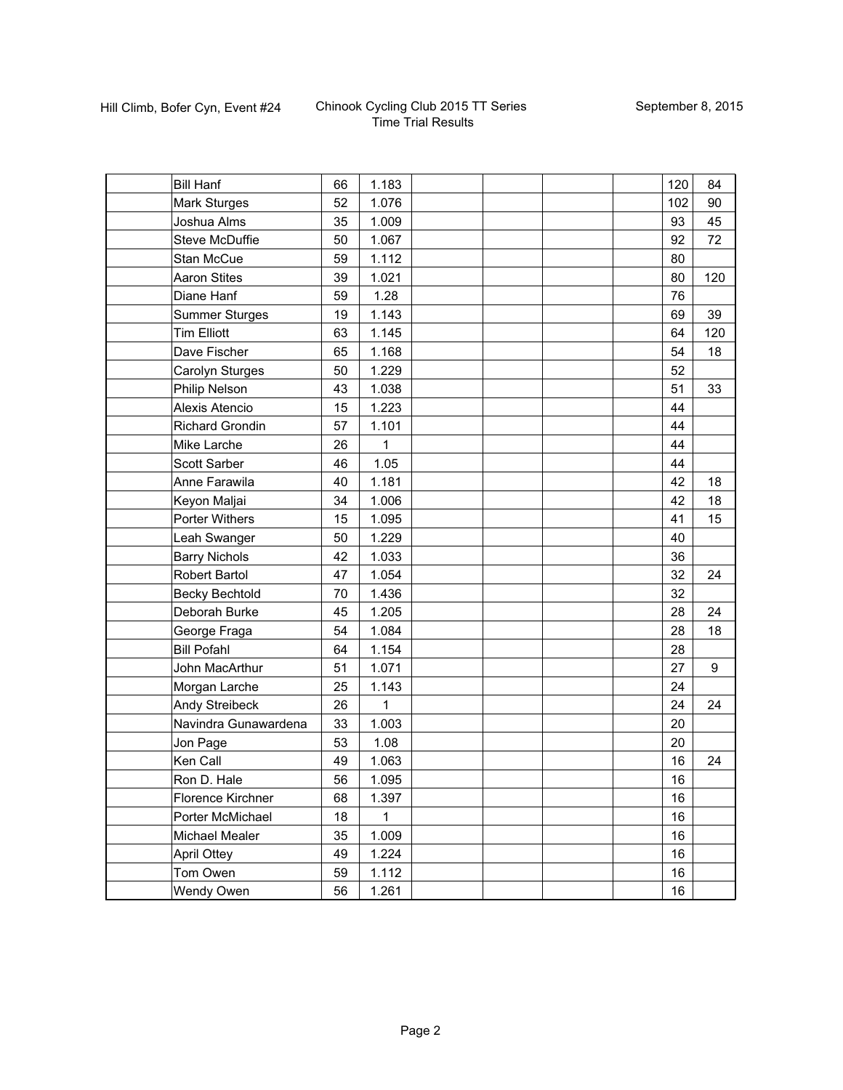| <b>Bill Hanf</b>       | 66 | 1.183 |  | 120 | 84  |
|------------------------|----|-------|--|-----|-----|
| Mark Sturges           | 52 | 1.076 |  | 102 | 90  |
| Joshua Alms            | 35 | 1.009 |  | 93  | 45  |
| <b>Steve McDuffie</b>  | 50 | 1.067 |  | 92  | 72  |
| <b>Stan McCue</b>      | 59 | 1.112 |  | 80  |     |
| <b>Aaron Stites</b>    | 39 | 1.021 |  | 80  | 120 |
| Diane Hanf             | 59 | 1.28  |  | 76  |     |
| <b>Summer Sturges</b>  | 19 | 1.143 |  | 69  | 39  |
| <b>Tim Elliott</b>     | 63 | 1.145 |  | 64  | 120 |
| Dave Fischer           | 65 | 1.168 |  | 54  | 18  |
| Carolyn Sturges        | 50 | 1.229 |  | 52  |     |
| Philip Nelson          | 43 | 1.038 |  | 51  | 33  |
| Alexis Atencio         | 15 | 1.223 |  | 44  |     |
| <b>Richard Grondin</b> | 57 | 1.101 |  | 44  |     |
| Mike Larche            | 26 | 1     |  | 44  |     |
| Scott Sarber           | 46 | 1.05  |  | 44  |     |
| Anne Farawila          | 40 | 1.181 |  | 42  | 18  |
| Keyon Maljai           | 34 | 1.006 |  | 42  | 18  |
| <b>Porter Withers</b>  | 15 | 1.095 |  | 41  | 15  |
| Leah Swanger           | 50 | 1.229 |  | 40  |     |
| <b>Barry Nichols</b>   | 42 | 1.033 |  | 36  |     |
| Robert Bartol          | 47 | 1.054 |  | 32  | 24  |
| <b>Becky Bechtold</b>  | 70 | 1.436 |  | 32  |     |
| Deborah Burke          | 45 | 1.205 |  | 28  | 24  |
| George Fraga           | 54 | 1.084 |  | 28  | 18  |
| <b>Bill Pofahl</b>     | 64 | 1.154 |  | 28  |     |
| John MacArthur         | 51 | 1.071 |  | 27  | 9   |
| Morgan Larche          | 25 | 1.143 |  | 24  |     |
| Andy Streibeck         | 26 | 1     |  | 24  | 24  |
| Navindra Gunawardena   | 33 | 1.003 |  | 20  |     |
| Jon Page               | 53 | 1.08  |  | 20  |     |
| Ken Call               | 49 | 1.063 |  | 16  | 24  |
| Ron D. Hale            | 56 | 1.095 |  | 16  |     |
| Florence Kirchner      | 68 | 1.397 |  | 16  |     |
| Porter McMichael       | 18 | 1     |  | 16  |     |
| Michael Mealer         | 35 | 1.009 |  | 16  |     |
| <b>April Ottey</b>     | 49 | 1.224 |  | 16  |     |
| Tom Owen               | 59 | 1.112 |  | 16  |     |
| Wendy Owen             | 56 | 1.261 |  | 16  |     |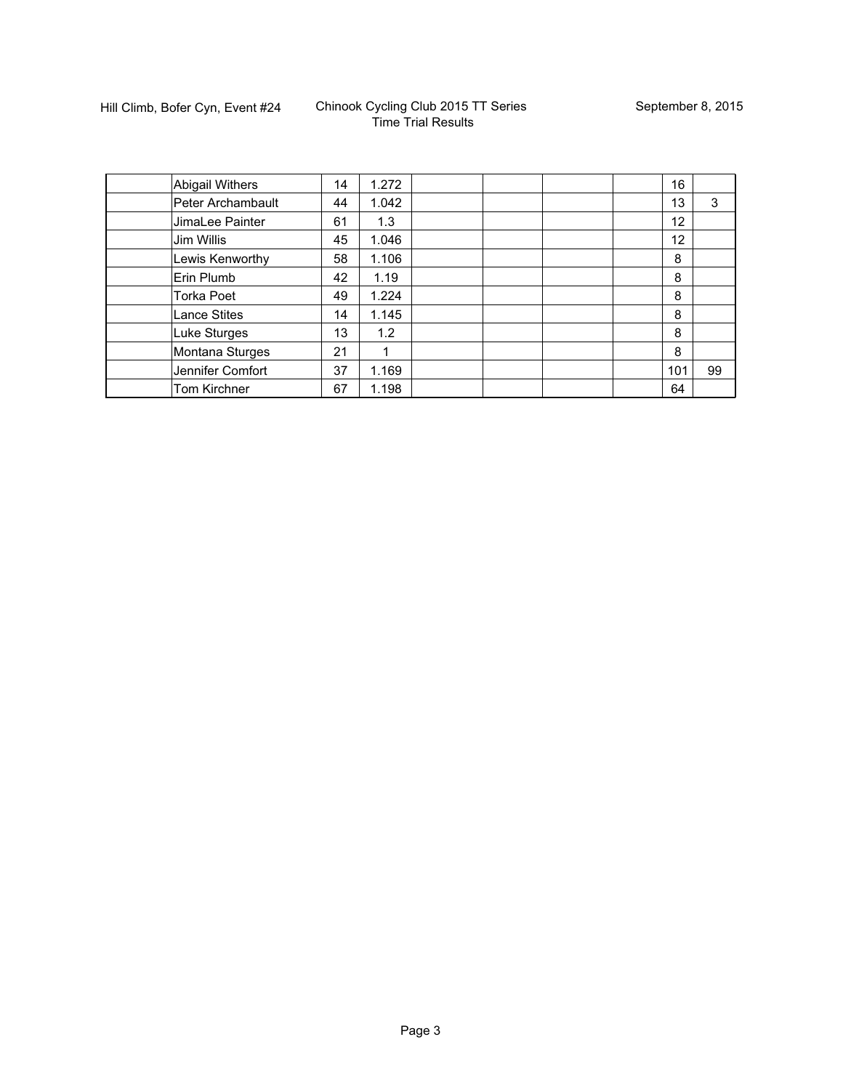| <b>Abigail Withers</b> | 14 | 1.272 |  |  | 16  |    |
|------------------------|----|-------|--|--|-----|----|
| Peter Archambault      | 44 | 1.042 |  |  | 13  | 3  |
| JimaLee Painter        | 61 | 1.3   |  |  | 12  |    |
| Jim Willis             | 45 | 1.046 |  |  | 12  |    |
| Lewis Kenworthy        | 58 | 1.106 |  |  | 8   |    |
| Erin Plumb             | 42 | 1.19  |  |  | 8   |    |
| <b>Torka Poet</b>      | 49 | 1.224 |  |  | 8   |    |
| <b>Lance Stites</b>    | 14 | 1.145 |  |  | 8   |    |
| Luke Sturges           | 13 | 1.2   |  |  | 8   |    |
| Montana Sturges        | 21 |       |  |  | 8   |    |
| Jennifer Comfort       | 37 | 1.169 |  |  | 101 | 99 |
| Tom Kirchner           | 67 | 1.198 |  |  | 64  |    |